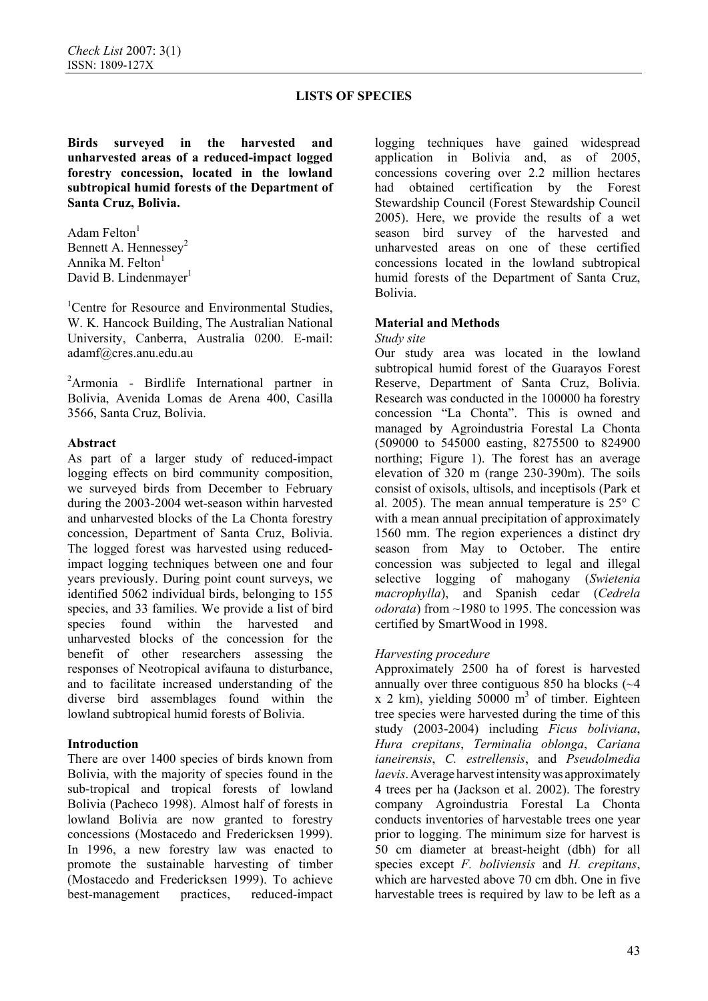**Birds surveyed in the harvested and unharvested areas of a reduced-impact logged forestry concession, located in the lowland subtropical humid forests of the Department of Santa Cruz, Bolivia.** 

Adam Felton<sup>1</sup> Bennett A. Hennessey<sup>2</sup> Annika M. Felton<sup>1</sup> David B. Lindenmayer<sup>1</sup>

<sup>1</sup>Centre for Resource and Environmental Studies, W. K. Hancock Building, The Australian National University, Canberra, Australia 0200. E-mail: adamf@cres.anu.edu.au

<sup>2</sup>Armonia - Birdlife International partner in Bolivia, Avenida Lomas de Arena 400, Casilla 3566, Santa Cruz, Bolivia.

### **Abstract**

As part of a larger study of reduced-impact logging effects on bird community composition, we surveyed birds from December to February during the 2003-2004 wet-season within harvested and unharvested blocks of the La Chonta forestry concession, Department of Santa Cruz, Bolivia. The logged forest was harvested using reducedimpact logging techniques between one and four years previously. During point count surveys, we identified 5062 individual birds, belonging to 155 species, and 33 families. We provide a list of bird species found within the harvested and unharvested blocks of the concession for the benefit of other researchers assessing the responses of Neotropical avifauna to disturbance, and to facilitate increased understanding of the diverse bird assemblages found within the lowland subtropical humid forests of Bolivia.

### **Introduction**

There are over 1400 species of birds known from Bolivia, with the majority of species found in the sub-tropical and tropical forests of lowland Bolivia (Pacheco 1998). Almost half of forests in lowland Bolivia are now granted to forestry concessions (Mostacedo and Fredericksen 1999). In 1996, a new forestry law was enacted to promote the sustainable harvesting of timber (Mostacedo and Fredericksen 1999). To achieve best-management practices, reduced-impact logging techniques have gained widespread application in Bolivia and, as of 2005, concessions covering over 2.2 million hectares had obtained certification by the Forest Stewardship Council (Forest Stewardship Council 2005). Here, we provide the results of a wet season bird survey of the harvested and unharvested areas on one of these certified concessions located in the lowland subtropical humid forests of the Department of Santa Cruz, Bolivia.

### **Material and Methods**

#### *Study site*

Our study area was located in the lowland subtropical humid forest of the Guarayos Forest Reserve, Department of Santa Cruz, Bolivia. Research was conducted in the 100000 ha forestry concession "La Chonta". This is owned and managed by Agroindustria Forestal La Chonta (509000 to 545000 easting, 8275500 to 824900 northing; Figure 1). The forest has an average elevation of 320 m (range 230-390m). The soils consist of oxisols, ultisols, and inceptisols (Park et al. 2005). The mean annual temperature is 25° C with a mean annual precipitation of approximately 1560 mm. The region experiences a distinct dry season from May to October. The entire concession was subjected to legal and illegal selective logging of mahogany (*Swietenia macrophylla*), and Spanish cedar (*Cedrela odorata*) from ~1980 to 1995. The concession was certified by SmartWood in 1998.

### *Harvesting procedure*

Approximately 2500 ha of forest is harvested annually over three contiguous 850 ha blocks  $(-4)$  $x$  2 km), yielding 50000 m<sup>3</sup> of timber. Eighteen tree species were harvested during the time of this study (2003-2004) including *Ficus boliviana*, *Hura crepitans*, *Terminalia oblonga*, *Cariana ianeirensis*, *C. estrellensis*, and *Pseudolmedia laevis*.Average harvestintensitywas approximately 4 trees per ha (Jackson et al. 2002). The forestry company Agroindustria Forestal La Chonta conducts inventories of harvestable trees one year prior to logging. The minimum size for harvest is 50 cm diameter at breast-height (dbh) for all species except *F. boliviensis* and *H. crepitans*, which are harvested above 70 cm dbh. One in five harvestable trees is required by law to be left as a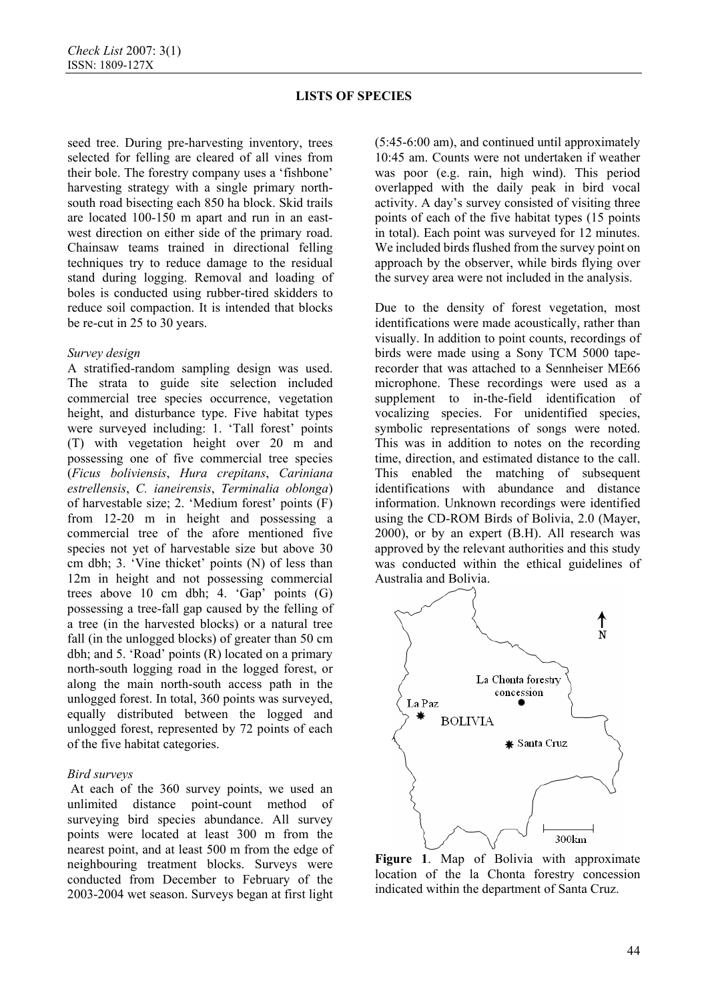seed tree. During pre-harvesting inventory, trees selected for felling are cleared of all vines from their bole. The forestry company uses a 'fishbone' harvesting strategy with a single primary northsouth road bisecting each 850 ha block. Skid trails are located 100-150 m apart and run in an eastwest direction on either side of the primary road. Chainsaw teams trained in directional felling techniques try to reduce damage to the residual stand during logging. Removal and loading of boles is conducted using rubber-tired skidders to reduce soil compaction. It is intended that blocks be re-cut in 25 to 30 years.

#### *Survey design*

A stratified-random sampling design was used. The strata to guide site selection included commercial tree species occurrence, vegetation height, and disturbance type. Five habitat types were surveyed including: 1. 'Tall forest' points (T) with vegetation height over 20 m and possessing one of five commercial tree species (*Ficus boliviensis*, *Hura crepitans*, *Cariniana estrellensis*, *C. ianeirensis*, *Terminalia oblonga*) of harvestable size; 2. 'Medium forest' points (F) from 12-20 m in height and possessing a commercial tree of the afore mentioned five species not yet of harvestable size but above 30 cm dbh; 3. 'Vine thicket' points (N) of less than 12m in height and not possessing commercial trees above 10 cm dbh; 4. 'Gap' points (G) possessing a tree-fall gap caused by the felling of a tree (in the harvested blocks) or a natural tree fall (in the unlogged blocks) of greater than 50 cm dbh; and 5. 'Road' points (R) located on a primary north-south logging road in the logged forest, or along the main north-south access path in the unlogged forest. In total, 360 points was surveyed, equally distributed between the logged and unlogged forest, represented by 72 points of each of the five habitat categories.

### *Bird surveys*

 At each of the 360 survey points, we used an unlimited distance point-count method surveying bird species abundance. All survey points were located at least 300 m from the nearest point, and at least 500 m from the edge of neighbouring treatment blocks. Surveys were conducted from December to February of the 2003-2004 wet season. Surveys began at first light

(5:45-6:00 am), and continued until approximately 10:45 am. Counts were not undertaken if weather was poor (e.g. rain, high wind). This period overlapped with the daily peak in bird vocal activity. A day's survey consisted of visiting three points of each of the five habitat types (15 points in total). Each point was surveyed for 12 minutes. We included birds flushed from the survey point on approach by the observer, while birds flying over the survey area were not included in the analysis.

Due to the density of forest vegetation, most identifications were made acoustically, rather than visually. In addition to point counts, recordings of birds were made using a Sony TCM 5000 taperecorder that was attached to a Sennheiser ME66 microphone. These recordings were used as a supplement to in-the-field identification of vocalizing species. For unidentified species, symbolic representations of songs were noted. This was in addition to notes on the recording time, direction, and estimated distance to the call. This enabled the matching of subsequent identifications with abundance and distance information. Unknown recordings were identified using the CD-ROM Birds of Bolivia, 2.0 (Mayer, 2000), or by an expert (B.H). All research was approved by the relevant authorities and this study was conducted within the ethical guidelines of Australia and Bolivia.



**Figure 1**. Map of Bolivia with approximate location of the la Chonta forestry concession indicated within the department of Santa Cruz.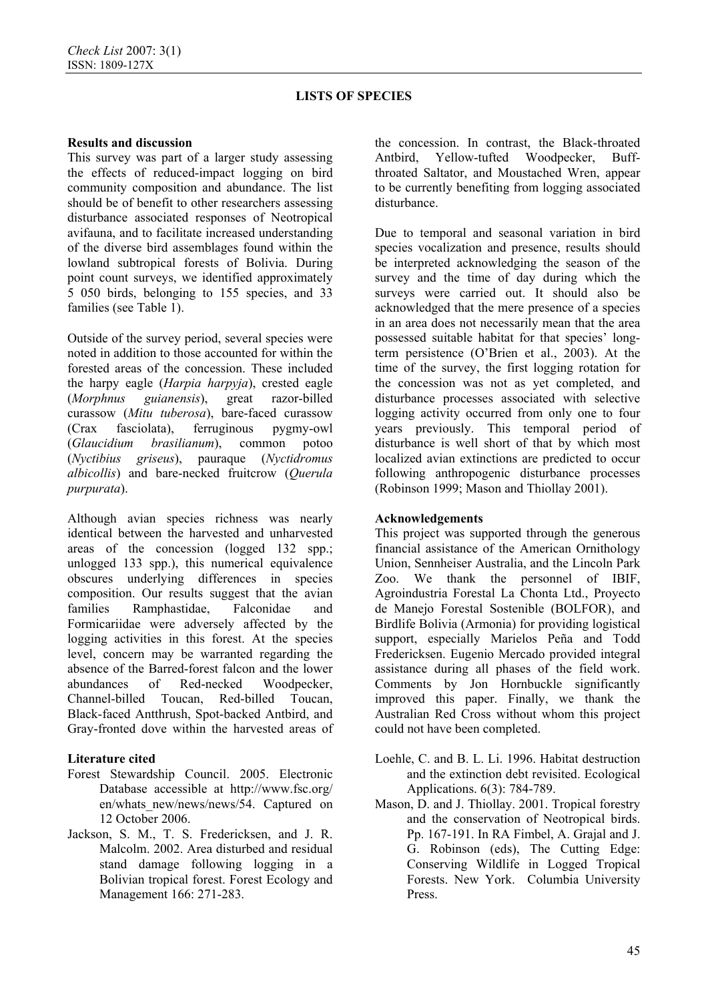## **Results and discussion**

This survey was part of a larger study assessing the effects of reduced-impact logging on bird community composition and abundance. The list should be of benefit to other researchers assessing disturbance associated responses of Neotropical avifauna, and to facilitate increased understanding of the diverse bird assemblages found within the lowland subtropical forests of Bolivia. During point count surveys, we identified approximately 5 050 birds, belonging to 155 species, and 33 families (see Table 1).

Outside of the survey period, several species were noted in addition to those accounted for within the forested areas of the concession. These included the harpy eagle (*Harpia harpyja*), crested eagle (*Morphnus guianensis*), great razor-billed curassow (*Mitu tuberosa*), bare-faced curassow (Crax fasciolata), ferruginous pygmy-owl (*Glaucidium brasilianum*), common potoo (*Nyctibius griseus*), pauraque (*Nyctidromus albicollis*) and bare-necked fruitcrow (*Querula purpurata*).

Although avian species richness was nearly identical between the harvested and unharvested areas of the concession (logged 132 spp.; unlogged 133 spp.), this numerical equivalence obscures underlying differences in species composition. Our results suggest that the avian families Ramphastidae, Falconidae and Formicariidae were adversely affected by the logging activities in this forest. At the species level, concern may be warranted regarding the absence of the Barred-forest falcon and the lower abundances of Red-necked Woodpecker, Channel-billed Toucan, Red-billed Toucan, Black-faced Antthrush, Spot-backed Antbird, and Gray-fronted dove within the harvested areas of

# **Literature cited**

- Forest Stewardship Council. 2005. Electronic Database accessible at http://www.fsc.org/ en/whats\_new/news/news/54. Captured on 12 October 2006.
- Jackson, S. M., T. S. Fredericksen, and J. R. Malcolm. 2002. Area disturbed and residual stand damage following logging in a Bolivian tropical forest. Forest Ecology and Management 166: 271-283.

the concession. In contrast, the Black-throated Antbird, Yellow-tufted Woodpecker, Buffthroated Saltator, and Moustached Wren, appear to be currently benefiting from logging associated disturbance.

Due to temporal and seasonal variation in bird species vocalization and presence, results should be interpreted acknowledging the season of the survey and the time of day during which the surveys were carried out. It should also be acknowledged that the mere presence of a species in an area does not necessarily mean that the area possessed suitable habitat for that species' longterm persistence (O'Brien et al., 2003). At the time of the survey, the first logging rotation for the concession was not as yet completed, and disturbance processes associated with selective logging activity occurred from only one to four years previously. This temporal period of disturbance is well short of that by which most localized avian extinctions are predicted to occur following anthropogenic disturbance processes (Robinson 1999; Mason and Thiollay 2001).

### **Acknowledgements**

This project was supported through the generous financial assistance of the American Ornithology Union, Sennheiser Australia, and the Lincoln Park Zoo. We thank the personnel of IBIF, Agroindustria Forestal La Chonta Ltd., Proyecto de Manejo Forestal Sostenible (BOLFOR), and Birdlife Bolivia (Armonia) for providing logistical support, especially Marielos Peña and Todd Fredericksen. Eugenio Mercado provided integral assistance during all phases of the field work. Comments by Jon Hornbuckle significantly improved this paper. Finally, we thank the Australian Red Cross without whom this project could not have been completed.

- Loehle, C. and B. L. Li. 1996. Habitat destruction and the extinction debt revisited. Ecological Applications. 6(3): 784-789.
- Mason, D. and J. Thiollay. 2001. Tropical forestry and the conservation of Neotropical birds. Pp. 167-191. In RA Fimbel, A. Grajal and J. G. Robinson (eds), The Cutting Edge: Conserving Wildlife in Logged Tropical Forests. New York. Columbia University Press.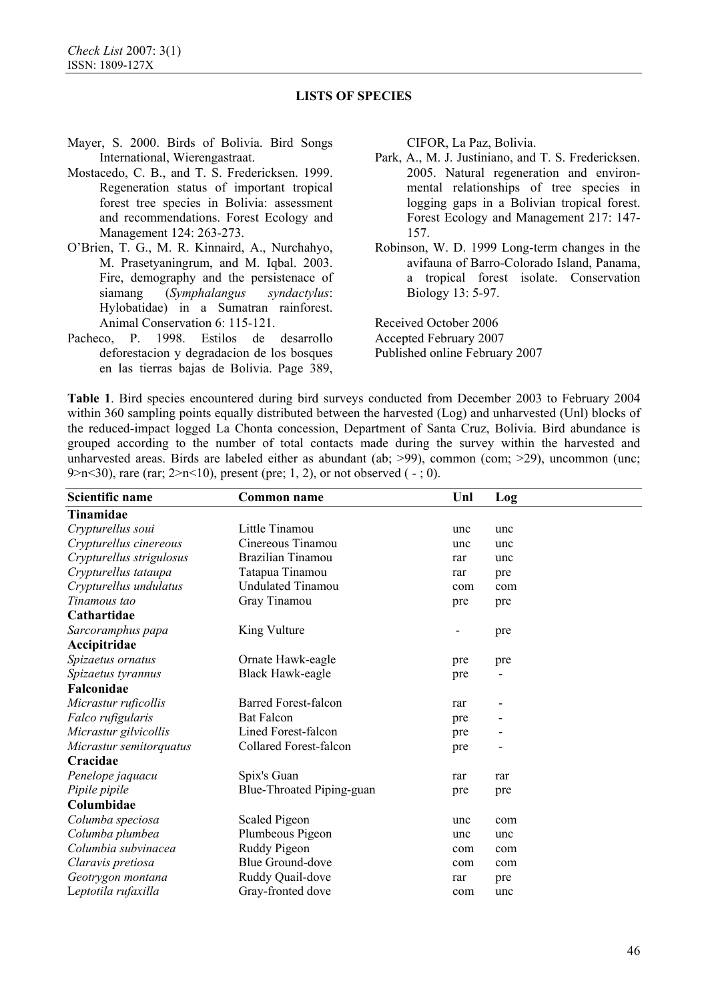- Mayer, S. 2000. Birds of Bolivia. Bird Songs International, Wierengastraat.
- Mostacedo, C. B., and T. S. Fredericksen. 1999. Regeneration status of important tropical forest tree species in Bolivia: assessment and recommendations. Forest Ecology and Management 124: 263-273.
- O'Brien, T. G., M. R. Kinnaird, A., Nurchahyo, M. Prasetyaningrum, and M. Iqbal. 2003. Fire, demography and the persistenace of siamang (*Symphalangus syndactylus*: Hylobatidae) in a Sumatran rainforest. Animal Conservation 6: 115-121.
- Pacheco, P. 1998. Estilos de desarrollo deforestacion y degradacion de los bosques en las tierras bajas de Bolivia. Page 389,

CIFOR, La Paz, Bolivia.

- Park, A., M. J. Justiniano, and T. S. Fredericksen. 2005. Natural regeneration and environmental relationships of tree species in logging gaps in a Bolivian tropical forest. Forest Ecology and Management 217: 147- 157.
- Robinson, W. D. 1999 Long-term changes in the avifauna of Barro-Colorado Island, Panama, a tropical forest isolate. Conservation Biology 13: 5-97.

Received October 2006 Accepted February 2007 Published online February 2007

**Table 1**. Bird species encountered during bird surveys conducted from December 2003 to February 2004 within 360 sampling points equally distributed between the harvested (Log) and unharvested (Unl) blocks of the reduced-impact logged La Chonta concession, Department of Santa Cruz, Bolivia. Bird abundance is grouped according to the number of total contacts made during the survey within the harvested and unharvested areas. Birds are labeled either as abundant (ab; >99), common (com; >29), uncommon (unc; 9>n<30), rare (rar;  $2 > n$ <10), present (pre; 1, 2), or not observed ( $-$ ; 0).

| Scientific name          | <b>Common name</b>            | Unl | Log |
|--------------------------|-------------------------------|-----|-----|
| <b>Tinamidae</b>         |                               |     |     |
| Crypturellus soui        | Little Tinamou                | unc | unc |
| Crypturellus cinereous   | Cinereous Tinamou             | unc | unc |
| Crypturellus strigulosus | Brazilian Tinamou             | rar | unc |
| Crypturellus tataupa     | Tatapua Tinamou               | rar | pre |
| Crypturellus undulatus   | <b>Undulated Tinamou</b>      | com | com |
| Tinamous tao             | Gray Tinamou                  | pre | pre |
| Cathartidae              |                               |     |     |
| Sarcoramphus papa        | King Vulture                  | -   | pre |
| Accipitridae             |                               |     |     |
| Spizaetus ornatus        | Ornate Hawk-eagle             | pre | pre |
| Spizaetus tyrannus       | <b>Black Hawk-eagle</b>       | pre |     |
| Falconidae               |                               |     |     |
| Micrastur ruficollis     | <b>Barred Forest-falcon</b>   | rar |     |
| Falco rufigularis        | <b>Bat Falcon</b>             | pre |     |
| Micrastur gilvicollis    | Lined Forest-falcon           | pre |     |
| Micrastur semitorquatus  | <b>Collared Forest-falcon</b> | pre |     |
| Cracidae                 |                               |     |     |
| Penelope jaquacu         | Spix's Guan                   | rar | rar |
| Pipile pipile            | Blue-Throated Piping-guan     | pre | pre |
| Columbidae               |                               |     |     |
| Columba speciosa         | Scaled Pigeon                 | unc | com |
| Columba plumbea          | Plumbeous Pigeon              | unc | unc |
| Columbia subvinacea      | Ruddy Pigeon                  | com | com |
| Claravis pretiosa        | <b>Blue Ground-dove</b>       | com | com |
| Geotrygon montana        | Ruddy Quail-dove              | rar | pre |
| Leptotila rufaxilla      | Gray-fronted dove             | com | unc |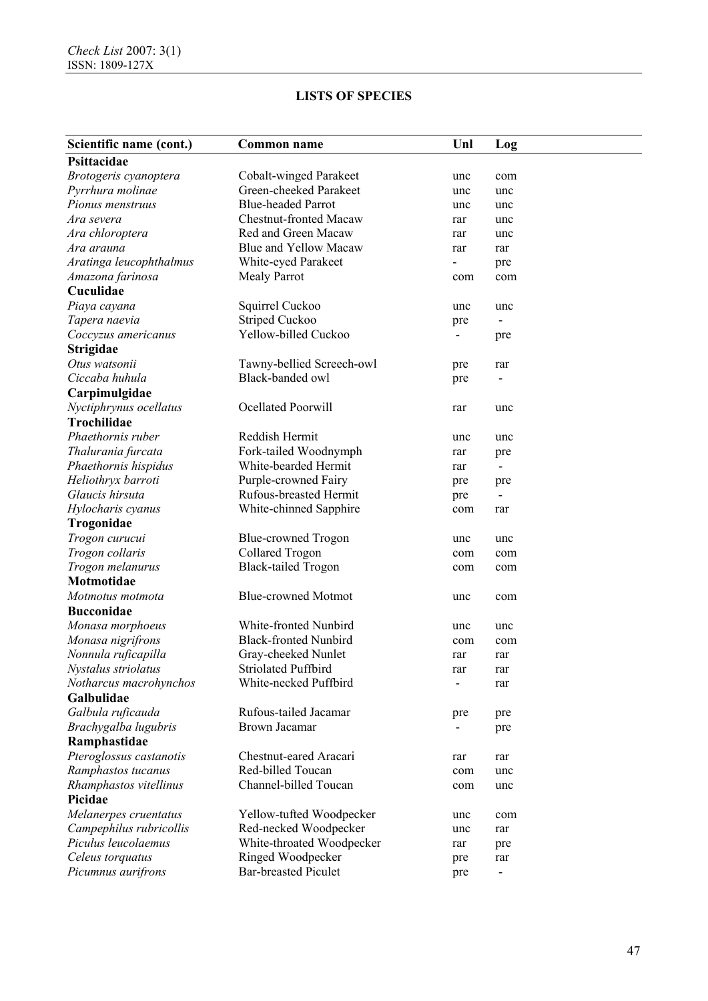| Scientific name (cont.)             | <b>Common name</b>            | Unl | Log                             |
|-------------------------------------|-------------------------------|-----|---------------------------------|
| Psittacidae                         |                               |     |                                 |
| Brotogeris cyanoptera               | Cobalt-winged Parakeet        | unc | com                             |
| Pyrrhura molinae                    | Green-cheeked Parakeet        | unc | unc                             |
| Pionus menstruus                    | <b>Blue-headed Parrot</b>     | unc | unc                             |
| Ara severa                          | <b>Chestnut-fronted Macaw</b> | rar | unc                             |
| Ara chloroptera                     | Red and Green Macaw           | rar | unc                             |
| Ara arauna                          | <b>Blue and Yellow Macaw</b>  | rar | rar                             |
| Aratinga leucophthalmus             | White-eyed Parakeet           |     | pre                             |
| Amazona farinosa                    | <b>Mealy Parrot</b>           | com | com                             |
| Cuculidae                           |                               |     |                                 |
| Piaya cayana                        | Squirrel Cuckoo               | unc | unc                             |
| Tapera naevia                       | Striped Cuckoo                | pre |                                 |
| Coccyzus americanus                 | Yellow-billed Cuckoo          |     | pre                             |
| <b>Strigidae</b>                    |                               |     |                                 |
| Otus watsonii                       | Tawny-bellied Screech-owl     | pre | rar                             |
| Ciccaba huhula                      | Black-banded owl              | pre |                                 |
| Carpimulgidae                       |                               |     |                                 |
| Nyctiphrynus ocellatus              | Ocellated Poorwill            | rar | unc                             |
| <b>Trochilidae</b>                  |                               |     |                                 |
| Phaethornis ruber                   | Reddish Hermit                | unc | unc                             |
| Thalurania furcata                  | Fork-tailed Woodnymph         | rar |                                 |
| Phaethornis hispidus                | White-bearded Hermit          | rar | pre<br>$\overline{\phantom{a}}$ |
| Heliothryx barroti                  | Purple-crowned Fairy          |     |                                 |
| Glaucis hirsuta                     | Rufous-breasted Hermit        | pre | pre<br>$\overline{\phantom{a}}$ |
| Hylocharis cyanus                   | White-chinned Sapphire        | pre |                                 |
|                                     |                               | com | rar                             |
| Trogonidae                          |                               |     |                                 |
| Trogon curucui                      | Blue-crowned Trogon           | unc | unc                             |
| Trogon collaris<br>Trogon melanurus | <b>Collared Trogon</b>        | com | com                             |
| Motmotidae                          | <b>Black-tailed Trogon</b>    | com | com                             |
|                                     |                               |     |                                 |
| Motmotus motmota                    | <b>Blue-crowned Motmot</b>    | unc | com                             |
| <b>Bucconidae</b>                   |                               |     |                                 |
| Monasa morphoeus                    | White-fronted Nunbird         | unc | unc                             |
| Monasa nigrifrons                   | <b>Black-fronted Nunbird</b>  | com | com                             |
| Nonnula ruficapilla                 | Gray-cheeked Nunlet           | rar | rar                             |
| Nystalus striolatus                 | <b>Striolated Puffbird</b>    | rar | rar                             |
| Notharcus macrohynchos              | White-necked Puffbird         |     | rar                             |
| Galbulidae                          |                               |     |                                 |
| Galbula ruficauda                   | Rufous-tailed Jacamar         | pre | pre                             |
| Brachygalba lugubris                | <b>Brown Jacamar</b>          |     | pre                             |
| Ramphastidae                        |                               |     |                                 |
| Pteroglossus castanotis             | Chestnut-eared Aracari        | rar | rar                             |
| Ramphastos tucanus                  | Red-billed Toucan             | com | unc                             |
| Rhamphastos vitellinus              | Channel-billed Toucan         | com | unc                             |
| Picidae                             |                               |     |                                 |
| Melanerpes cruentatus               | Yellow-tufted Woodpecker      | unc | com                             |
| Campephilus rubricollis             | Red-necked Woodpecker         | unc | rar                             |
| Piculus leucolaemus                 | White-throated Woodpecker     | rar | pre                             |
| Celeus torquatus                    | Ringed Woodpecker             | pre | rar                             |
| Picumnus aurifrons                  | <b>Bar-breasted Piculet</b>   | pre | $\blacksquare$                  |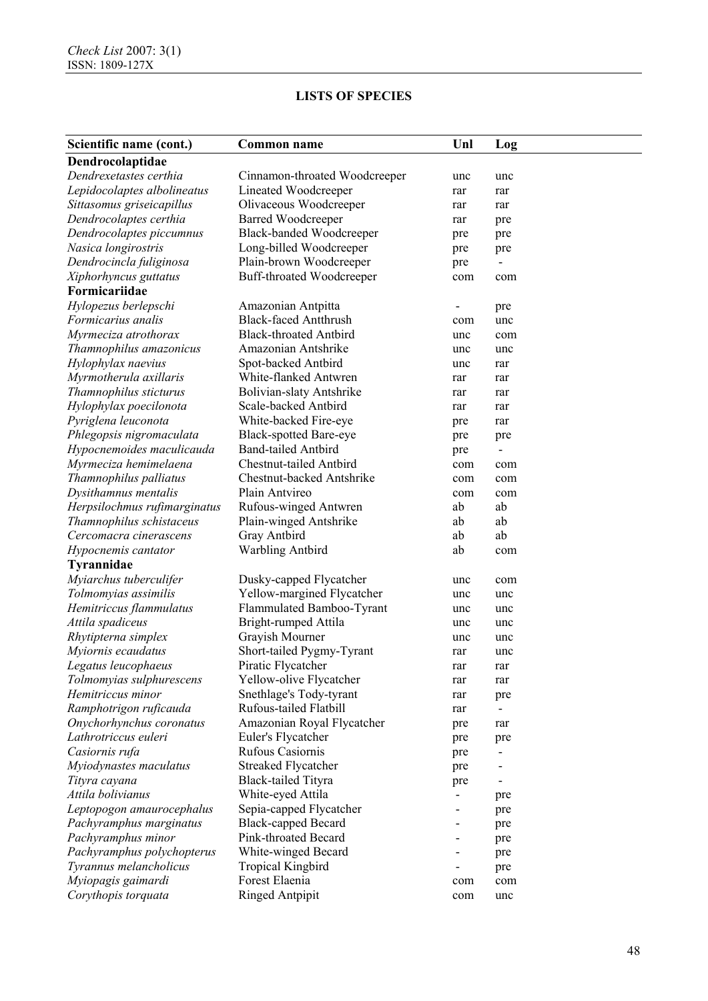| Scientific name (cont.)      | <b>Common name</b>              | Unl       | Log       |
|------------------------------|---------------------------------|-----------|-----------|
| Dendrocolaptidae             |                                 |           |           |
| Dendrexetastes certhia       | Cinnamon-throated Woodcreeper   | unc       | unc       |
| Lepidocolaptes albolineatus  | Lineated Woodcreeper            | rar       | rar       |
| Sittasomus griseicapillus    | Olivaceous Woodcreeper          | rar       | rar       |
| Dendrocolaptes certhia       | <b>Barred Woodcreeper</b>       | rar       | pre       |
| Dendrocolaptes piccumnus     | <b>Black-banded Woodcreeper</b> | pre       | pre       |
| Nasica longirostris          | Long-billed Woodcreeper         | pre       | pre       |
| Dendrocincla fuliginosa      | Plain-brown Woodcreeper         | pre       |           |
| Xiphorhyncus guttatus        | Buff-throated Woodcreeper       | com       | com       |
| Formicariidae                |                                 |           |           |
| Hylopezus berlepschi         | Amazonian Antpitta              |           | pre       |
| Formicarius analis           | <b>Black-faced Antthrush</b>    | com       | unc       |
| Myrmeciza atrothorax         | <b>Black-throated Antbird</b>   | unc       | com       |
| Thamnophilus amazonicus      | Amazonian Antshrike             | unc       | unc       |
| Hylophylax naevius           | Spot-backed Antbird             | unc       | rar       |
| Myrmotherula axillaris       | White-flanked Antwren           | rar       | rar       |
| Thamnophilus sticturus       | <b>Bolivian-slaty Antshrike</b> | rar       | rar       |
| Hylophylax poecilonota       | Scale-backed Antbird            | rar       | rar       |
| Pyriglena leuconota          | White-backed Fire-eye           | pre       | rar       |
| Phlegopsis nigromaculata     | <b>Black-spotted Bare-eye</b>   | pre       |           |
| Hypocnemoides maculicauda    | <b>Band-tailed Antbird</b>      |           | pre       |
| Myrmeciza hemimelaena        | Chestnut-tailed Antbird         | pre       |           |
| Thamnophilus palliatus       | Chestnut-backed Antshrike       | com       | com       |
| Dysithamnus mentalis         | Plain Antvireo                  | com       | com       |
| Herpsilochmus rufimarginatus | Rufous-winged Antwren           | com<br>ab | com<br>ab |
|                              |                                 |           |           |
| Thamnophilus schistaceus     | Plain-winged Antshrike          | ab        | ab        |
| Cercomacra cinerascens       | Gray Antbird                    | ab        | ab        |
| Hypocnemis cantator          | <b>Warbling Antbird</b>         | ab        | com       |
| Tyrannidae                   |                                 |           |           |
| Myiarchus tuberculifer       | Dusky-capped Flycatcher         | unc       | com       |
| Tolmomyias assimilis         | Yellow-margined Flycatcher      | unc       | unc       |
| Hemitriccus flammulatus      | Flammulated Bamboo-Tyrant       | unc       | unc       |
| Attila spadiceus             | Bright-rumped Attila            | unc       | unc       |
| Rhytipterna simplex          | Grayish Mourner                 | unc       | unc       |
| Myiornis ecaudatus           | Short-tailed Pygmy-Tyrant       | rar       | unc       |
| Legatus leucophaeus          | Piratic Flycatcher              | rar       | rar       |
| Tolmomyias sulphurescens     | Yellow-olive Flycatcher         | rar       | rar       |
| Hemitriccus minor            | Snethlage's Tody-tyrant         | rar       | pre       |
| Ramphotrigon ruficauda       | Rufous-tailed Flatbill          | rar       |           |
| Onychorhynchus coronatus     | Amazonian Royal Flycatcher      | pre       | rar       |
| Lathrotriccus euleri         | Euler's Flycatcher              | pre       | pre       |
| Casiornis rufa               | Rufous Casiornis                | pre       |           |
| Myiodynastes maculatus       | <b>Streaked Flycatcher</b>      | pre       |           |
| Tityra cayana                | <b>Black-tailed Tityra</b>      | pre       |           |
| Attila bolivianus            | White-eyed Attila               |           | pre       |
| Leptopogon amaurocephalus    | Sepia-capped Flycatcher         |           | pre       |
| Pachyramphus marginatus      | <b>Black-capped Becard</b>      |           | pre       |
| Pachyramphus minor           | Pink-throated Becard            |           | pre       |
| Pachyramphus polychopterus   | White-winged Becard             |           | pre       |
| Tyrannus melancholicus       | <b>Tropical Kingbird</b>        |           | pre       |
| Myiopagis gaimardi           | Forest Elaenia                  | com       | com       |
| Corythopis torquata          | <b>Ringed Antpipit</b>          | com       | unc       |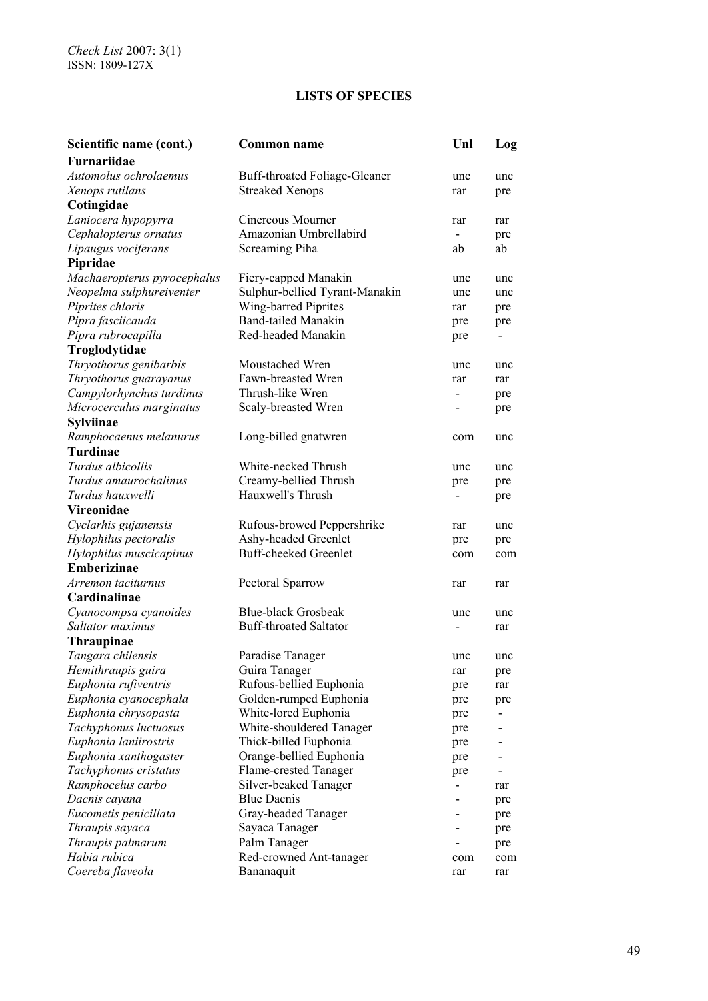| Scientific name (cont.)     | <b>Common name</b>             | Unl | Log |
|-----------------------------|--------------------------------|-----|-----|
| Furnariidae                 |                                |     |     |
| Automolus ochrolaemus       | Buff-throated Foliage-Gleaner  | unc | unc |
| Xenops rutilans             | <b>Streaked Xenops</b>         | rar | pre |
| Cotingidae                  |                                |     |     |
| Laniocera hypopyrra         | Cinereous Mourner              | rar | rar |
| Cephalopterus ornatus       | Amazonian Umbrellabird         |     | pre |
| Lipaugus vociferans         | Screaming Piha                 | ab  | ab  |
| Pipridae                    |                                |     |     |
| Machaeropterus pyrocephalus | Fiery-capped Manakin           | unc | unc |
| Neopelma sulphureiventer    | Sulphur-bellied Tyrant-Manakin | unc | unc |
| Piprites chloris            | Wing-barred Piprites           | rar | pre |
| Pipra fasciicauda           | <b>Band-tailed Manakin</b>     | pre | pre |
| Pipra rubrocapilla          | Red-headed Manakin             | pre |     |
| Troglodytidae               |                                |     |     |
| Thryothorus genibarbis      | Moustached Wren                | unc | unc |
| Thryothorus guarayanus      | Fawn-breasted Wren             | rar | rar |
| Campylorhynchus turdinus    | Thrush-like Wren               | ۰   |     |
| Microcerculus marginatus    | Scaly-breasted Wren            |     | pre |
| <b>Sylviinae</b>            |                                |     | pre |
| Ramphocaenus melanurus      |                                |     |     |
| <b>Turdinae</b>             | Long-billed gnatwren           | com | unc |
|                             | White-necked Thrush            |     |     |
| Turdus albicollis           |                                | unc | unc |
| Turdus amaurochalinus       | Creamy-bellied Thrush          | pre | pre |
| Turdus hauxwelli            | Hauxwell's Thrush              |     | pre |
| Vireonidae                  |                                |     |     |
| Cyclarhis gujanensis        | Rufous-browed Peppershrike     | rar | unc |
| Hylophilus pectoralis       | Ashy-headed Greenlet           | pre | pre |
| Hylophilus muscicapinus     | <b>Buff-cheeked Greenlet</b>   | com | com |
| <b>Emberizinae</b>          |                                |     |     |
| Arremon taciturnus          | Pectoral Sparrow               | rar | rar |
| Cardinalinae                |                                |     |     |
| Cyanocompsa cyanoides       | <b>Blue-black Grosbeak</b>     | unc | unc |
| Saltator maximus            | <b>Buff-throated Saltator</b>  |     | rar |
| <b>Thraupinae</b>           |                                |     |     |
| Tangara chilensis           | Paradise Tanager               | unc | unc |
| Hemithraupis guira          | Guira Tanager                  | rar | pre |
| Euphonia rufiventris        | Rufous-bellied Euphonia        | pre | rar |
| Euphonia cyanocephala       | Golden-rumped Euphonia         | pre | pre |
| Euphonia chrysopasta        | White-lored Euphonia           | pre |     |
| Tachyphonus luctuosus       | White-shouldered Tanager       | pre |     |
| Euphonia laniirostris       | Thick-billed Euphonia          | pre |     |
| Euphonia xanthogaster       | Orange-bellied Euphonia        | pre |     |
| Tachyphonus cristatus       | Flame-crested Tanager          | pre |     |
| Ramphocelus carbo           | Silver-beaked Tanager          | -   | rar |
| Dacnis cayana               | <b>Blue Dacnis</b>             |     | pre |
| Eucometis penicillata       | Gray-headed Tanager            |     | pre |
| Thraupis sayaca             | Sayaca Tanager                 |     | pre |
| Thraupis palmarum           | Palm Tanager                   |     | pre |
| Habia rubica                | Red-crowned Ant-tanager        | com | com |
| Coereba flaveola            | Bananaquit                     | rar | rar |